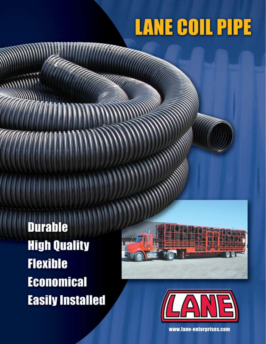# **LANE COIL PIPE**

**Durable High Quality Flexible Economical Easily Installed** 

Mun





www.lane-enterprises.com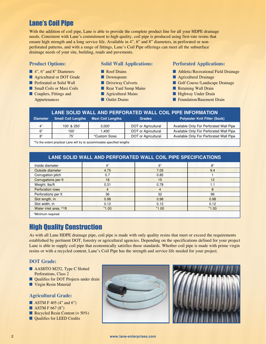# Lane's Coil Pipe

With the addition of coil pipe, Lane is able to provide the complete product line for all your HDPE drainage needs. Consistent with Lane's commitment to high quality, coil pipe is produced using first-rate resins that ensure high strength and a long service life. Available in 4", 6" and 8" diameters, in perforated or nonperforated patterns, and with a range of fittings, Lane's Coil Pipe offerings can meet all the subsurface drainage needs of your site, building, roads and pavements.

### **Product Options:**

- **4**", 6" and 8" Diameters
- **n** Agricultural or DOT Grade
- **n** Perforated or Solid Wall
- Small Coils or Maxi Coils
- $\blacksquare$  Couplers, Fittings and
	- Appurtenances

### **Solid Wall Applications:**

- Roof Drains
- **n** Downspouts
- **n** Driveway Culverts
- **Rear Yard Sump Mains**
- $\blacksquare$  Agricultural Mains
- $\blacksquare$  Outlet Drains

## **Perforated Applications:**

- Athletic/Recreational Field Drainage
- **n** Agricultural Drainage
- Golf Course/Landscape Drainage
- **Retaining Wall Drain**
- **Highway Under Drain**
- **n** Foundation/Basement Drain

| LANE SOLID WALL AND PERFORATED WALL COIL PIPE INFORMATION |                           |                          |                     |                                         |  |  |
|-----------------------------------------------------------|---------------------------|--------------------------|---------------------|-----------------------------------------|--|--|
| <b>Diameter</b>                                           | <b>Small Coil Lengths</b> | <b>Maxi Coil Lengths</b> | <b>Grades</b>       | <b>Polyester Knit Filter (Sock)</b>     |  |  |
| 4"                                                        | 100' & 250'               | 3.000'                   | DOT or Agricultural | Available Only For Perforated Wall Pipe |  |  |
| 6"                                                        | 100'                      | 1.400'                   | DOT or Agricultural | Available Only For Perforated Wall Pipe |  |  |
| R"                                                        | 75'                       | *Custom Sizes            | DOT or Agricultural | Available Only For Perforated Wall Pipe |  |  |

\*To the extent practical Lane will try to accommodate specified lengths

| LANE SOLID WALL AND PERFORATED WALL COIL PIPE SPECIFICATIONS |                |         |  |  |  |
|--------------------------------------------------------------|----------------|---------|--|--|--|
| 4"                                                           | 6"             | 8"      |  |  |  |
| 4.75                                                         | 7.05           | 9.4     |  |  |  |
| 0.7                                                          | 0.85           |         |  |  |  |
| 18                                                           | 15             | 12      |  |  |  |
| 0.31                                                         | 0.78           | 1.1     |  |  |  |
| 4                                                            | $\overline{4}$ | 8       |  |  |  |
| 36                                                           | 32             | 96      |  |  |  |
| 0.98                                                         | 0.98           | 0.98    |  |  |  |
| 0.12                                                         | 0.12           | 0.12    |  |  |  |
| $*1.00$                                                      | $*1.00$        | $*1.00$ |  |  |  |
|                                                              |                |         |  |  |  |

\*Minimum required

# High Quality Construction

As with all Lane HDPE drainage pipe, coil pipe is made with only quality resins that meet or exceed the requirements established by pertinent DOT, forestry or agricultural agencies. Depending on the specifications defined for your project Lane is able to supply coil pipe that economically satisfies those standards. Whether coil pipe is made with prime virgin resins or with a recycled content, Lane's Coil Pipe has the strength and service life needed for your project.

## **DOT Grade:**

- AASHTO M252, Type C Slotted Perforations, Class 2
- **n** Qualifies for DOT Projects under drain
- **Nirgin Resin Material**

## **Agricultural Grade:**

- $\blacksquare$  ASTM F 405 (4" and 6")
- $\blacksquare$  ASTM F 667 (8")
- Recycled Resin Content ( $\approx$  50%)
- **n** Qualifies for LEED Credits



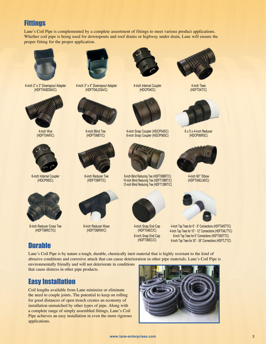# **Fittings**

Lane's Coil Pipe is complemented by a complete assortment of fittings to meet various product applications. Whether coil pipe is being used for downspouts and roof drains or highway under drain, Lane will ensure the proper fitting for the proper application.



4-inch 2" x 3" Downspout Adapter (HDFT04SDSA/C)



4-inch Wye (HDFT04W/C)



6-inch Internal Coupler (HDCP06**I**C)



6-inch Reducer Cross Tee (HDFT06RCT/C)



4-inch 3" x 4" Downspout Adapter (HDFT04LDSA/C)



6-inch Blind Tee (HDFT06BT/C)



6-inch Reducer Tee (HDFT06RT/C)



6-inch Reducer Wyes (HDFT06RW/C)



4-inch Internal Coupler (HDCP04**I**C)



4-inch Snap Coupler (HDCP04SC) 6-inch Snap Coupler (HDCP06SC)



8-inch Blind Reducing Tee (HDFT08BRT/C) 10-inch Blind Reducing Tee (HDFT10BRT/C) 12-inch Blind Reducing Tee (HDFT12BRT/C)



4-inch Snap End Cap (HDFT04EC/C) 6-inch Snap End Cap (HDFT06EC/C)



4-inch Tees (HDFT04T/C)



6 x 5 x 4-inch Reducer (HDCP06RSC)



4-inch 90° Elbow (HDFT04EL90/C)



4-inch Tap Tees for 6" - 8" Connections (HDFT04STT/C) 4-inch Tap Tees for 10" - 12" Connections (HDFT04LTT/C) 6-inch Tap Tees for 6" Connections (HDFT06STT/C) 6-inch Tap Tees for 30" - 36" Connections (HDFTLTT/C)

# **Durable**

Lane's Coil Pipe is by nature a tough, durable, chemically inert material that is highly resistant to the kind of abrasive conditions and corrosive attack that can cause deterioration in other pipe materials. Lane's Coil Pipe is environmentally friendly and will not deteriorate in conditions

that cause distress in other pipe products.

# Easy Installation

Coil lengths available from Lane minimize or eliminate the need to couple joints. The potential to keep on rolling for good distances of open trench creates an economy of installation unmatched by other types of pipe. Along with a complete range of simply assembled fittings, Lane's Coil Pipe achieves an easy installation in even the more rigorous applications.